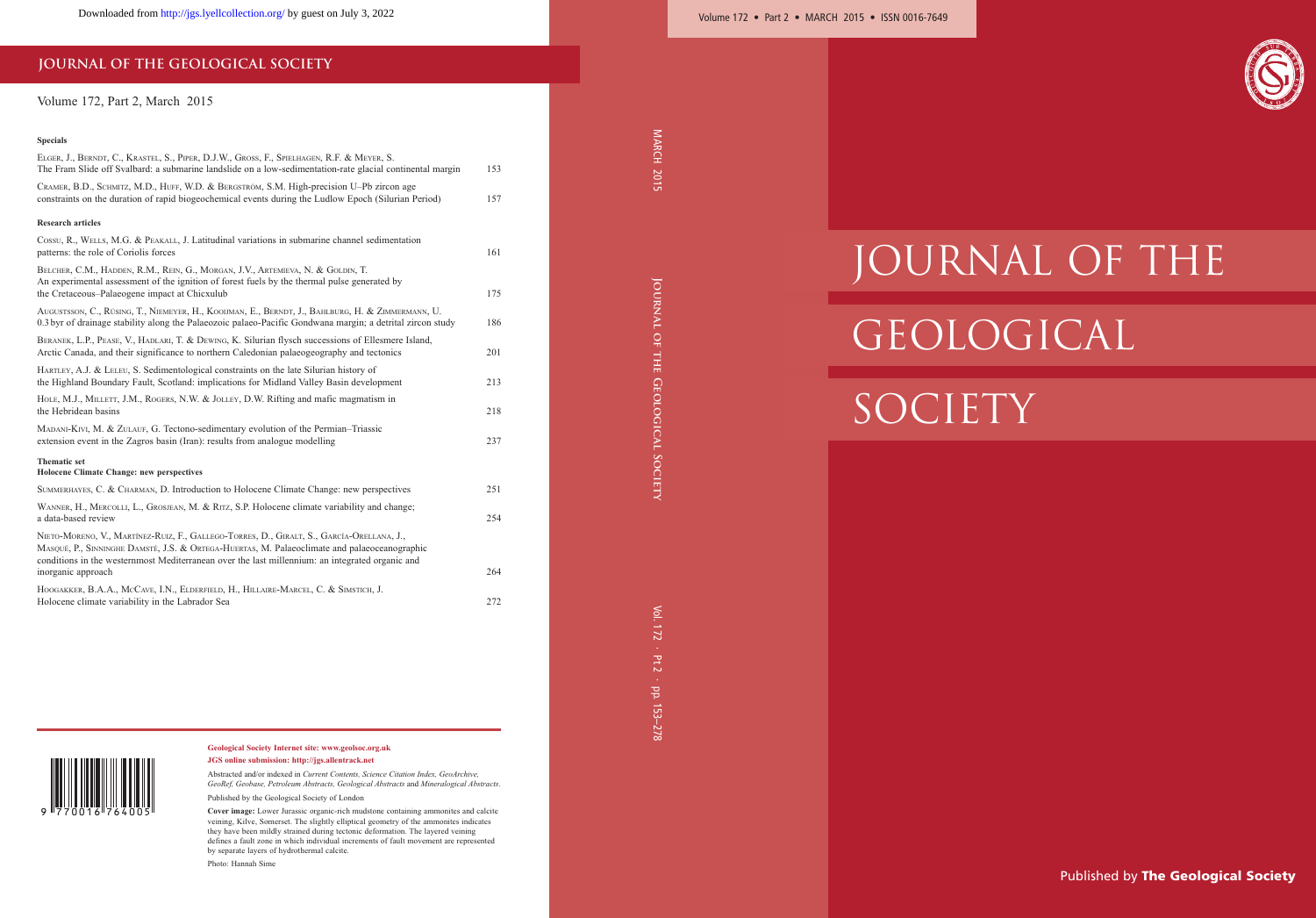# **JOURNAL OF THE GEOLOGICAL SOCIETY**

## Volume 172, Part 2, March 2015

### **Specials**

| ELGER, J., BERNDT, C., KRASTEL, S., PIPER, D.J.W., GROSS, F., SPIELHAGEN, R.F. & MEYER, S.<br>The Fram Slide off Svalbard: a submarine landslide on a low-sedimentation-rate glacial continental margin                                                                                      | 153 |
|----------------------------------------------------------------------------------------------------------------------------------------------------------------------------------------------------------------------------------------------------------------------------------------------|-----|
| Скамек, B.D., SCHMITZ, M.D., HUFF, W.D. & BERGSTRÖM, S.M. High-precision U-Pb zircon age<br>constraints on the duration of rapid biogeochemical events during the Ludlow Epoch (Silurian Period)                                                                                             | 157 |
| <b>Research articles</b>                                                                                                                                                                                                                                                                     |     |
| Cossu, R., WELLS, M.G. & PEAKALL, J. Latitudinal variations in submarine channel sedimentation<br>patterns: the role of Coriolis forces                                                                                                                                                      | 161 |
| BELCHER, C.M., HADDEN, R.M., REIN, G., MORGAN, J.V., ARTEMIEVA, N. & GOLDIN, T.<br>An experimental assessment of the ignition of forest fuels by the thermal pulse generated by<br>the Cretaceous-Palaeogene impact at Chicxulub                                                             | 175 |
| AUGUSTSSON, C., RÜSING, T., NIEMEYER, H., KOOIJMAN, E., BERNDT, J., BAHLBURG, H. & ZIMMERMANN, U.<br>0.3 byr of drainage stability along the Palaeozoic palaeo-Pacific Gondwana margin; a detrital zircon study                                                                              | 186 |
| BERANEK, L.P., PEASE, V., HADLARI, T. & DEWING, K. Silurian flysch successions of Ellesmere Island,<br>Arctic Canada, and their significance to northern Caledonian palaeogeography and tectonics                                                                                            | 201 |
| HARTLEY, A.J. & LELEU, S. Sedimentological constraints on the late Silurian history of<br>the Highland Boundary Fault, Scotland: implications for Midland Valley Basin development                                                                                                           | 213 |
| HOLE, M.J., MILLETT, J.M., ROGERS, N.W. & JOLLEY, D.W. Rifting and mafic magmatism in<br>the Hebridean basins                                                                                                                                                                                | 218 |
| MADANI-KIVI, M. & ZULAUF, G. Tectono-sedimentary evolution of the Permian-Triassic<br>extension event in the Zagros basin (Iran): results from analogue modelling                                                                                                                            | 237 |
| <b>Thematic set</b><br><b>Holocene Climate Change: new perspectives</b>                                                                                                                                                                                                                      |     |
| SUMMERHAYES, C. & CHARMAN, D. Introduction to Holocene Climate Change: new perspectives                                                                                                                                                                                                      | 251 |
| WANNER, H., MERCOLLI, L., GROSJEAN, M. & RITZ, S.P. Holocene climate variability and change;<br>a data-based review                                                                                                                                                                          | 254 |
| NIETO-MORENO, V., MARTÍNEZ-RUIZ, F., GALLEGO-TORRES, D., GIRALT, S., GARCÍA-ORELLANA, J.,<br>MASQUÉ, P., SINNINGHE DAMSTÉ, J.S. & ORTEGA-HUERTAS, M. Palaeoclimate and palaeoceanographic<br>conditions in the westernmost Mediterranean over the last millennium: an integrated organic and |     |
| inorganic approach                                                                                                                                                                                                                                                                           | 264 |
| HOOGAKKER, B.A.A., MCCAVE, I.N., ELDERFIELD, H., HILLAIRE-MARCEL, C. & SIMSTICH, J.<br>Holocene climate variability in the Labrador Sea                                                                                                                                                      | 272 |



#### **Geological Society Internet site: www.geolsoc.org.uk JGS online submission: http://jgs.allentrack.net**

Abstracted and/or indexed in *Current Contents, Science Citation Index, GeoArchive, GeoRef, Geobase, Petroleum Abstracts, Geological Abstracts* and *Mineralogical Abstracts*.

Published by the Geological Society of London

**Cover image:** Lower Jurassic organic-rich mudstone containing ammonites and calcite veining, Kilve, Somerset. The slightly elliptical geometry of the ammonites indicates they have been mildly strained during tectonic deformation. The layered veining defines a fault zone in which individual increments of fault movement are represented by separate layers of hydrothermal calcite.

Photo: Hannah Sime